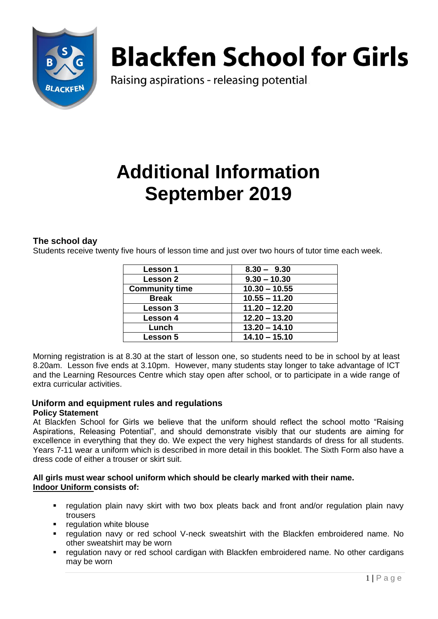

# **Blackfen School for Girls**

Raising aspirations - releasing potential

# **Additional Information September 2019**

### **The school day**

Students receive twenty five hours of lesson time and just over two hours of tutor time each week.

| <b>Lesson 1</b>       | $8.30 - 9.30$   |
|-----------------------|-----------------|
| Lesson 2              | $9.30 - 10.30$  |
| <b>Community time</b> | $10.30 - 10.55$ |
| <b>Break</b>          | $10.55 - 11.20$ |
| <b>Lesson 3</b>       | $11.20 - 12.20$ |
| <b>Lesson 4</b>       | $12.20 - 13.20$ |
| Lunch                 | $13.20 - 14.10$ |
| <b>Lesson 5</b>       | $14.10 - 15.10$ |
|                       |                 |

Morning registration is at 8.30 at the start of lesson one, so students need to be in school by at least 8.20am. Lesson five ends at 3.10pm. However, many students stay longer to take advantage of ICT and the Learning Resources Centre which stay open after school, or to participate in a wide range of extra curricular activities.

#### **Uniform and equipment rules and regulations Policy Statement**

At Blackfen School for Girls we believe that the uniform should reflect the school motto "Raising Aspirations, Releasing Potential", and should demonstrate visibly that our students are aiming for excellence in everything that they do. We expect the very highest standards of dress for all students. Years 7-11 wear a uniform which is described in more detail in this booklet. The Sixth Form also have a dress code of either a trouser or skirt suit.

#### **All girls must wear school uniform which should be clearly marked with their name. Indoor Uniform consists of:**

- regulation plain navy skirt with two box pleats back and front and/or regulation plain navy trousers
- regulation white blouse
- regulation navy or red school V-neck sweatshirt with the Blackfen embroidered name. No other sweatshirt may be worn
- regulation navy or red school cardigan with Blackfen embroidered name. No other cardigans may be worn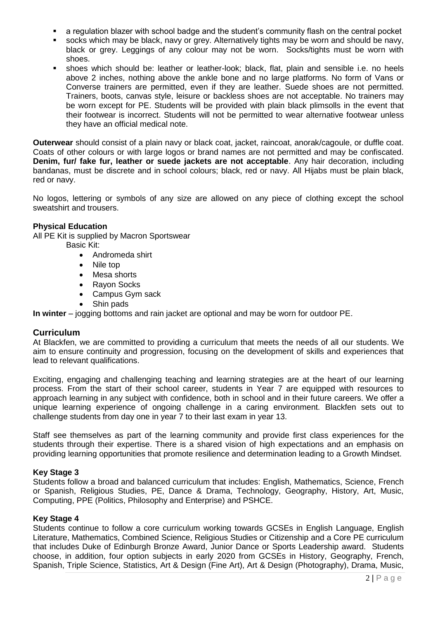- a regulation blazer with school badge and the student's community flash on the central pocket
- socks which may be black, navy or grey. Alternatively tights may be worn and should be navy, black or grey. Leggings of any colour may not be worn. Socks/tights must be worn with shoes.
- shoes which should be: leather or leather-look; black, flat, plain and sensible i.e. no heels above 2 inches, nothing above the ankle bone and no large platforms. No form of Vans or Converse trainers are permitted, even if they are leather. Suede shoes are not permitted. Trainers, boots, canvas style, leisure or backless shoes are not acceptable. No trainers may be worn except for PE. Students will be provided with plain black plimsolls in the event that their footwear is incorrect. Students will not be permitted to wear alternative footwear unless they have an official medical note.

**Outerwear** should consist of a plain navy or black coat, jacket, raincoat, anorak/cagoule, or duffle coat. Coats of other colours or with large logos or brand names are not permitted and may be confiscated. **Denim, fur/ fake fur, leather or suede jackets are not acceptable**. Any hair decoration, including bandanas, must be discrete and in school colours; black, red or navy. All Hijabs must be plain black, red or navy.

No logos, lettering or symbols of any size are allowed on any piece of clothing except the school sweatshirt and trousers.

#### **Physical Education**

All PE Kit is supplied by Macron Sportswear Basic Kit:

- Andromeda shirt
- Nile top
- Mesa shorts
- Rayon Socks
- Campus Gym sack
- Shin pads

**In winter** – jogging bottoms and rain jacket are optional and may be worn for outdoor PE.

#### **Curriculum**

At Blackfen, we are committed to providing a curriculum that meets the needs of all our students. We aim to ensure continuity and progression, focusing on the development of skills and experiences that lead to relevant qualifications.

Exciting, engaging and challenging teaching and learning strategies are at the heart of our learning process. From the start of their school career, students in Year 7 are equipped with resources to approach learning in any subject with confidence, both in school and in their future careers. We offer a unique learning experience of ongoing challenge in a caring environment. Blackfen sets out to challenge students from day one in year 7 to their last exam in year 13.

Staff see themselves as part of the learning community and provide first class experiences for the students through their expertise. There is a shared vision of high expectations and an emphasis on providing learning opportunities that promote resilience and determination leading to a Growth Mindset.

#### **Key Stage 3**

Students follow a broad and balanced curriculum that includes: English, Mathematics, Science, French or Spanish, Religious Studies, PE, Dance & Drama, Technology, Geography, History, Art, Music, Computing, PPE (Politics, Philosophy and Enterprise) and PSHCE.

#### **Key Stage 4**

Students continue to follow a core curriculum working towards GCSEs in English Language, English Literature, Mathematics, Combined Science, Religious Studies or Citizenship and a Core PE curriculum that includes Duke of Edinburgh Bronze Award, Junior Dance or Sports Leadership award. Students choose, in addition, four option subjects in early 2020 from GCSEs in History, Geography, French, Spanish, Triple Science, Statistics, Art & Design (Fine Art), Art & Design (Photography), Drama, Music,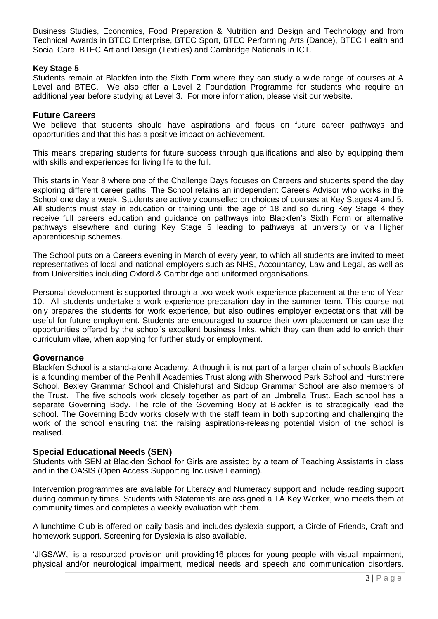Business Studies, Economics, Food Preparation & Nutrition and Design and Technology and from Technical Awards in BTEC Enterprise, BTEC Sport, BTEC Performing Arts (Dance), BTEC Health and Social Care, BTEC Art and Design (Textiles) and Cambridge Nationals in ICT.

#### **Key Stage 5**

Students remain at Blackfen into the Sixth Form where they can study a wide range of courses at A Level and BTEC. We also offer a Level 2 Foundation Programme for students who require an additional year before studying at Level 3. For more information, please visit our website.

#### **Future Careers**

We believe that students should have aspirations and focus on future career pathways and opportunities and that this has a positive impact on achievement.

This means preparing students for future success through qualifications and also by equipping them with skills and experiences for living life to the full.

This starts in Year 8 where one of the Challenge Days focuses on Careers and students spend the day exploring different career paths. The School retains an independent Careers Advisor who works in the School one day a week. Students are actively counselled on choices of courses at Key Stages 4 and 5. All students must stay in education or training until the age of 18 and so during Key Stage 4 they receive full careers education and guidance on pathways into Blackfen's Sixth Form or alternative pathways elsewhere and during Key Stage 5 leading to pathways at university or via Higher apprenticeship schemes.

The School puts on a Careers evening in March of every year, to which all students are invited to meet representatives of local and national employers such as NHS, Accountancy, Law and Legal, as well as from Universities including Oxford & Cambridge and uniformed organisations.

Personal development is supported through a two-week work experience placement at the end of Year 10. All students undertake a work experience preparation day in the summer term. This course not only prepares the students for work experience, but also outlines employer expectations that will be useful for future employment. Students are encouraged to source their own placement or can use the opportunities offered by the school's excellent business links, which they can then add to enrich their curriculum vitae, when applying for further study or employment.

#### **Governance**

Blackfen School is a stand-alone Academy. Although it is not part of a larger chain of schools Blackfen is a founding member of the Penhill Academies Trust along with Sherwood Park School and Hurstmere School. Bexley Grammar School and Chislehurst and Sidcup Grammar School are also members of the Trust. The five schools work closely together as part of an Umbrella Trust. Each school has a separate Governing Body. The role of the Governing Body at Blackfen is to strategically lead the school. The Governing Body works closely with the staff team in both supporting and challenging the work of the school ensuring that the raising aspirations-releasing potential vision of the school is realised.

#### **Special Educational Needs (SEN)**

Students with SEN at Blackfen School for Girls are assisted by a team of Teaching Assistants in class and in the OASIS (Open Access Supporting Inclusive Learning).

Intervention programmes are available for Literacy and Numeracy support and include reading support during community times. Students with Statements are assigned a TA Key Worker, who meets them at community times and completes a weekly evaluation with them.

A lunchtime Club is offered on daily basis and includes dyslexia support, a Circle of Friends, Craft and homework support. Screening for Dyslexia is also available.

'JIGSAW,' is a resourced provision unit providing16 places for young people with visual impairment, physical and/or neurological impairment, medical needs and speech and communication disorders.